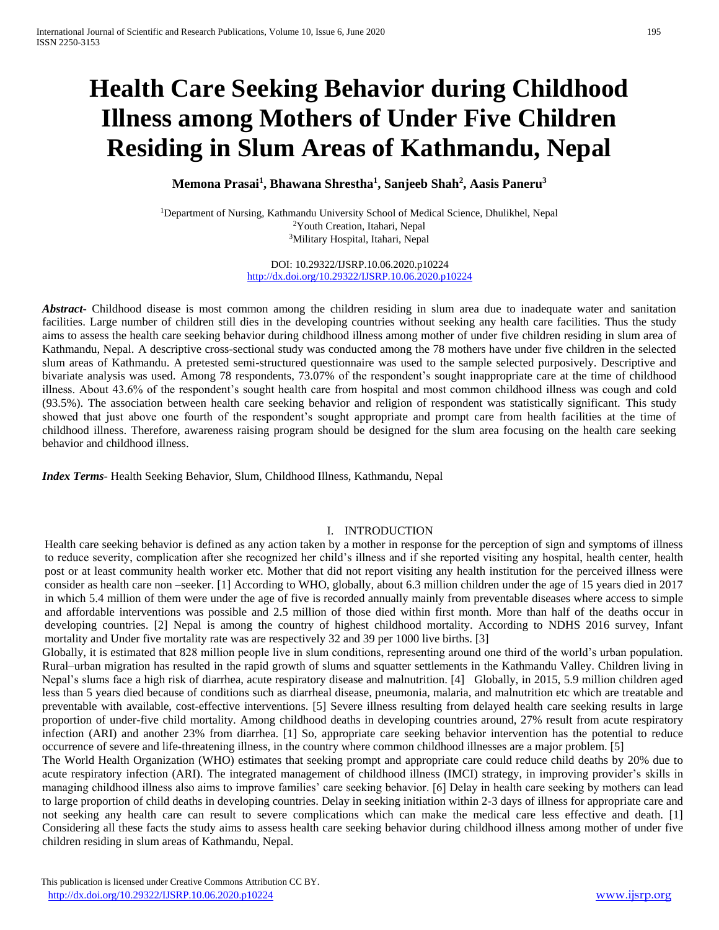# **Health Care Seeking Behavior during Childhood Illness among Mothers of Under Five Children Residing in Slum Areas of Kathmandu, Nepal**

**Memona Prasai<sup>1</sup> , Bhawana Shrestha<sup>1</sup> , Sanjeeb Shah<sup>2</sup> , Aasis Paneru<sup>3</sup>**

<sup>1</sup>Department of Nursing, Kathmandu University School of Medical Science, Dhulikhel, Nepal <sup>2</sup>Youth Creation, Itahari, Nepal <sup>3</sup>Military Hospital, Itahari, Nepal

> DOI: 10.29322/IJSRP.10.06.2020.p10224 <http://dx.doi.org/10.29322/IJSRP.10.06.2020.p10224>

*Abstract***-** Childhood disease is most common among the children residing in slum area due to inadequate water and sanitation facilities. Large number of children still dies in the developing countries without seeking any health care facilities. Thus the study aims to assess the health care seeking behavior during childhood illness among mother of under five children residing in slum area of Kathmandu, Nepal. A descriptive cross-sectional study was conducted among the 78 mothers have under five children in the selected slum areas of Kathmandu. A pretested semi-structured questionnaire was used to the sample selected purposively. Descriptive and bivariate analysis was used. Among 78 respondents, 73.07% of the respondent's sought inappropriate care at the time of childhood illness. About 43.6% of the respondent's sought health care from hospital and most common childhood illness was cough and cold (93.5%). The association between health care seeking behavior and religion of respondent was statistically significant. This study showed that just above one fourth of the respondent's sought appropriate and prompt care from health facilities at the time of childhood illness. Therefore, awareness raising program should be designed for the slum area focusing on the health care seeking behavior and childhood illness.

*Index Terms*- Health Seeking Behavior, Slum, Childhood Illness, Kathmandu, Nepal

## I. INTRODUCTION

Health care seeking behavior is defined as any action taken by a mother in response for the perception of sign and symptoms of illness to reduce severity, complication after she recognized her child's illness and if she reported visiting any hospital, health center, health post or at least community health worker etc. Mother that did not report visiting any health institution for the perceived illness were consider as health care non –seeker. [1] According to WHO, globally, about 6.3 million children under the age of 15 years died in 2017 in which 5.4 million of them were under the age of five is recorded annually mainly from preventable diseases where access to simple and affordable interventions was possible and 2.5 million of those died within first month. More than half of the deaths occur in developing countries. [2] Nepal is among the country of highest childhood mortality. According to NDHS 2016 survey, Infant mortality and Under five mortality rate was are respectively 32 and 39 per 1000 live births. [3]

Globally, it is estimated that 828 million people live in slum conditions, representing around one third of the world's urban population. Rural–urban migration has resulted in the rapid growth of slums and squatter settlements in the Kathmandu Valley. Children living in Nepal's slums face a high risk of diarrhea, acute respiratory disease and malnutrition. [4] Globally, in 2015, 5.9 million children aged less than 5 years died because of conditions such as diarrheal disease, pneumonia, malaria, and malnutrition etc which are treatable and preventable with available, cost-effective interventions. [5] Severe illness resulting from delayed health care seeking results in large proportion of under-five child mortality. Among childhood deaths in developing countries around, 27% result from acute respiratory infection (ARI) and another 23% from diarrhea. [1] So, appropriate care seeking behavior intervention has the potential to reduce occurrence of severe and life-threatening illness, in the country where common childhood illnesses are a major problem. [5]

The World Health Organization (WHO) estimates that seeking prompt and appropriate care could reduce child deaths by 20% due to acute respiratory infection (ARI). The integrated management of childhood illness (IMCI) strategy, in improving provider's skills in managing childhood illness also aims to improve families' care seeking behavior. [6] Delay in health care seeking by mothers can lead to large proportion of child deaths in developing countries. Delay in seeking initiation within 2-3 days of illness for appropriate care and not seeking any health care can result to severe complications which can make the medical care less effective and death. [1] Considering all these facts the study aims to assess health care seeking behavior during childhood illness among mother of under five children residing in slum areas of Kathmandu, Nepal.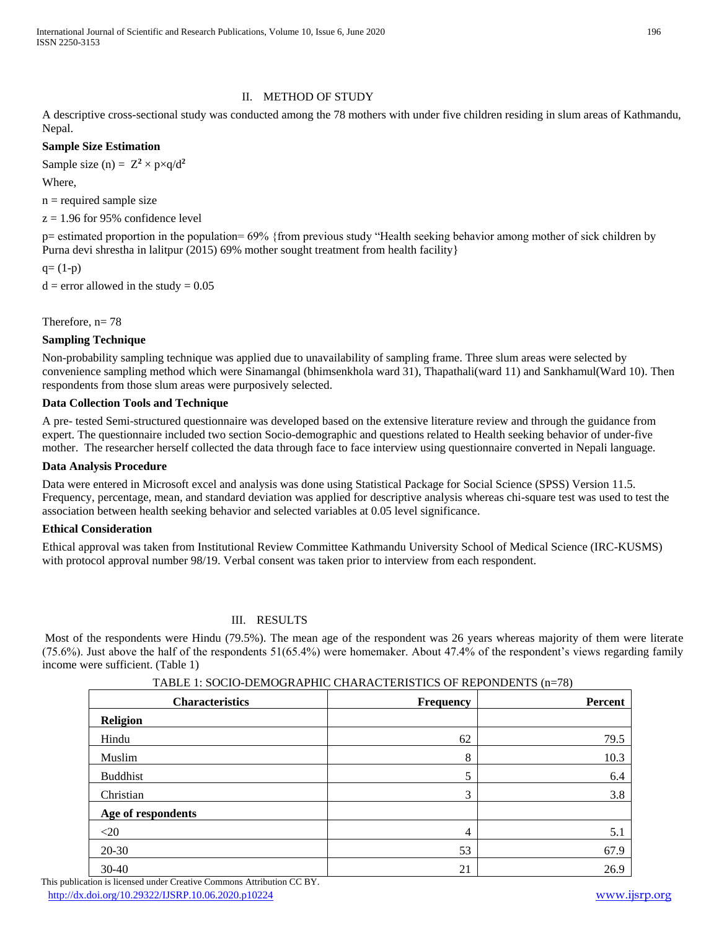International Journal of Scientific and Research Publications, Volume 10, Issue 6, June 2020 196 ISSN 2250-3153

## II. METHOD OF STUDY

A descriptive cross-sectional study was conducted among the 78 mothers with under five children residing in slum areas of Kathmandu, Nepal.

## **Sample Size Estimation**

Sample size (n) =  $Z^2 \times p \times q/d^2$ 

Where,

 $n =$  required sample size

 $z = 1.96$  for 95% confidence level

p= estimated proportion in the population= 69% {from previous study "Health seeking behavior among mother of sick children by Purna devi shrestha in lalitpur (2015) 69% mother sought treatment from health facility}

 $q=(1-p)$ 

 $d =$  error allowed in the study = 0.05

Therefore,  $n= 78$ 

## **Sampling Technique**

Non-probability sampling technique was applied due to unavailability of sampling frame. Three slum areas were selected by convenience sampling method which were Sinamangal (bhimsenkhola ward 31), Thapathali(ward 11) and Sankhamul(Ward 10). Then respondents from those slum areas were purposively selected.

## **Data Collection Tools and Technique**

A pre- tested Semi-structured questionnaire was developed based on the extensive literature review and through the guidance from expert. The questionnaire included two section Socio-demographic and questions related to Health seeking behavior of under-five mother. The researcher herself collected the data through face to face interview using questionnaire converted in Nepali language.

#### **Data Analysis Procedure**

Data were entered in Microsoft excel and analysis was done using Statistical Package for Social Science (SPSS) Version 11.5. Frequency, percentage, mean, and standard deviation was applied for descriptive analysis whereas chi-square test was used to test the association between health seeking behavior and selected variables at 0.05 level significance.

## **Ethical Consideration**

Ethical approval was taken from Institutional Review Committee Kathmandu University School of Medical Science (IRC-KUSMS) with protocol approval number 98/19. Verbal consent was taken prior to interview from each respondent.

## III. RESULTS

Most of the respondents were Hindu (79.5%). The mean age of the respondent was 26 years whereas majority of them were literate (75.6%). Just above the half of the respondents 51(65.4%) were homemaker. About 47.4% of the respondent's views regarding family income were sufficient. (Table 1)

| <b>Characteristics</b> | Frequency      | Percent |
|------------------------|----------------|---------|
| Religion               |                |         |
| Hindu                  | 62             | 79.5    |
| Muslim                 | $\,8\,$        | 10.3    |
| <b>Buddhist</b>        | 5              | 6.4     |
| Christian              | 3              | 3.8     |
| Age of respondents     |                |         |
| $<$ 20                 | $\overline{4}$ | 5.1     |
| $20 - 30$              | 53             | 67.9    |
| 30-40                  | 21             | 26.9    |

TABLE 1: SOCIO-DEMOGRAPHIC CHARACTERISTICS OF REPONDENTS (n=78)

 This publication is licensed under Creative Commons Attribution CC BY. <http://dx.doi.org/10.29322/IJSRP.10.06.2020.p10224> [www.ijsrp.org](http://ijsrp.org/)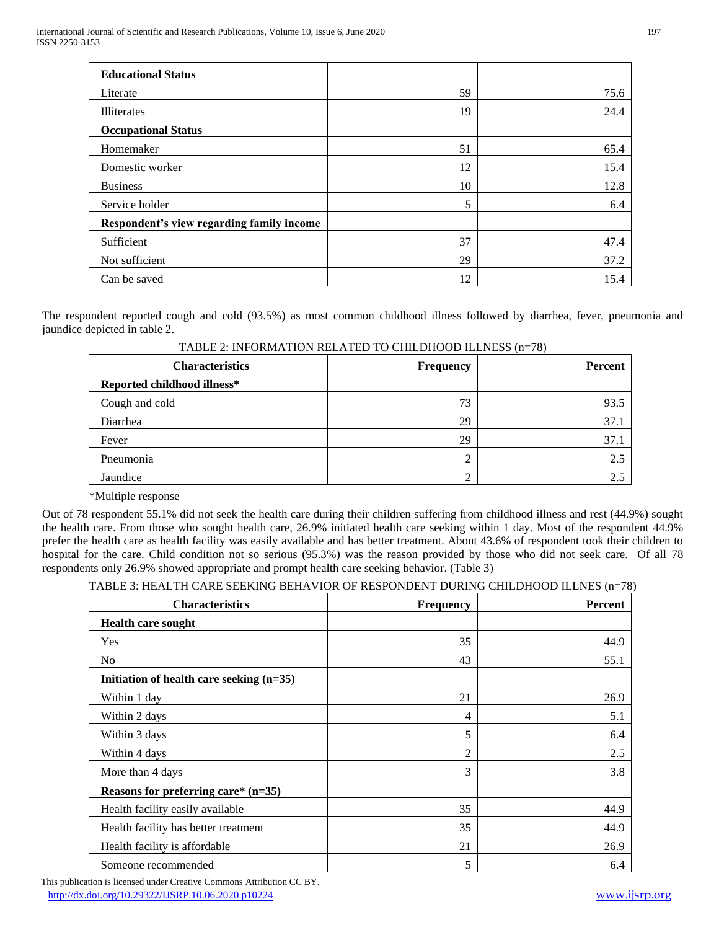| <b>Educational Status</b>                 |    |      |
|-------------------------------------------|----|------|
| Literate                                  | 59 | 75.6 |
| <b>Illiterates</b>                        | 19 | 24.4 |
| <b>Occupational Status</b>                |    |      |
| Homemaker                                 | 51 | 65.4 |
| Domestic worker                           | 12 | 15.4 |
| <b>Business</b>                           | 10 | 12.8 |
| Service holder                            | 5  | 6.4  |
| Respondent's view regarding family income |    |      |
| Sufficient                                | 37 | 47.4 |
| Not sufficient                            | 29 | 37.2 |
| Can be saved                              | 12 | 15.4 |

The respondent reported cough and cold (93.5%) as most common childhood illness followed by diarrhea, fever, pneumonia and jaundice depicted in table 2.

| <b>Characteristics</b>      | <b>Frequency</b> | $\cdots$<br><b>Percent</b> |
|-----------------------------|------------------|----------------------------|
| Reported childhood illness* |                  |                            |
| Cough and cold              | 73               | 93.5                       |
| Diarrhea                    | 29               | 37.1                       |
| Fever                       | 29               | 37.1                       |
| Pneumonia                   | ◠                | 2.5                        |
| Jaundice                    | ◠                | 2.5                        |

\*Multiple response

Out of 78 respondent 55.1% did not seek the health care during their children suffering from childhood illness and rest (44.9%) sought the health care. From those who sought health care, 26.9% initiated health care seeking within 1 day. Most of the respondent 44.9% prefer the health care as health facility was easily available and has better treatment. About 43.6% of respondent took their children to hospital for the care. Child condition not so serious (95.3%) was the reason provided by those who did not seek care. Of all 78 respondents only 26.9% showed appropriate and prompt health care seeking behavior. (Table 3)

## TABLE 3: HEALTH CARE SEEKING BEHAVIOR OF RESPONDENT DURING CHILDHOOD ILLNES (n=78)

| <b>Characteristics</b>                     | Frequency | <b>Percent</b> |
|--------------------------------------------|-----------|----------------|
| <b>Health care sought</b>                  |           |                |
| Yes                                        | 35        | 44.9           |
| N <sub>0</sub>                             | 43        | 55.1           |
| Initiation of health care seeking $(n=35)$ |           |                |
| Within 1 day                               | 21        | 26.9           |
| Within 2 days                              | 4         | 5.1            |
| Within 3 days                              | 5         | 6.4            |
| Within 4 days                              | 2         | 2.5            |
| More than 4 days                           | 3         | 3.8            |
| Reasons for preferring care* $(n=35)$      |           |                |
| Health facility easily available           | 35        | 44.9           |
| Health facility has better treatment       | 35        | 44.9           |
| Health facility is affordable              | 21        | 26.9           |
| Someone recommended                        | 5         | 6.4            |

 This publication is licensed under Creative Commons Attribution CC BY. <http://dx.doi.org/10.29322/IJSRP.10.06.2020.p10224> [www.ijsrp.org](http://ijsrp.org/)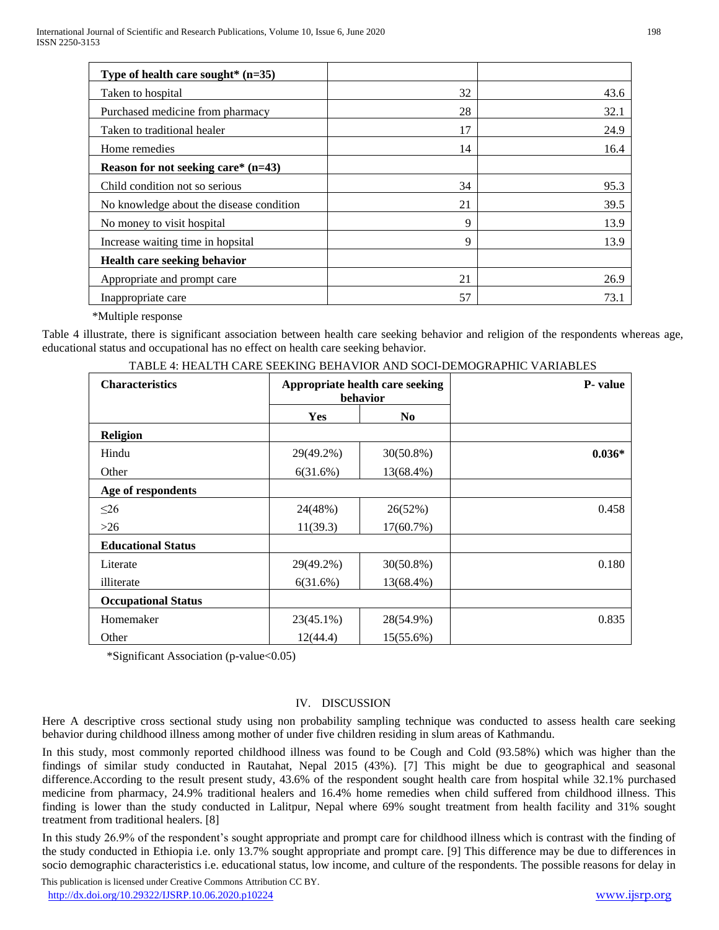| Type of health care sought* $(n=35)$     |    |      |
|------------------------------------------|----|------|
| Taken to hospital                        | 32 | 43.6 |
| Purchased medicine from pharmacy         | 28 | 32.1 |
| Taken to traditional healer              | 17 | 24.9 |
| Home remedies                            | 14 | 16.4 |
| Reason for not seeking care* $(n=43)$    |    |      |
| Child condition not so serious           | 34 | 95.3 |
| No knowledge about the disease condition | 21 | 39.5 |
| No money to visit hospital               | 9  | 13.9 |
| Increase waiting time in hopsital        | 9  | 13.9 |
| <b>Health care seeking behavior</b>      |    |      |
| Appropriate and prompt care              | 21 | 26.9 |
| Inappropriate care                       | 57 | 73.1 |

\*Multiple response

Table 4 illustrate, there is significant association between health care seeking behavior and religion of the respondents whereas age, educational status and occupational has no effect on health care seeking behavior.

| <b>Characteristics</b>     | Appropriate health care seeking<br>behavior |                | <b>P</b> -value |
|----------------------------|---------------------------------------------|----------------|-----------------|
|                            | <b>Yes</b>                                  | N <sub>0</sub> |                 |
| <b>Religion</b>            |                                             |                |                 |
| Hindu                      | 29(49.2%)                                   | $30(50.8\%)$   | $0.036*$        |
| Other                      | 6(31.6%)                                    | 13(68.4%)      |                 |
| Age of respondents         |                                             |                |                 |
| $\leq$ 26                  | 24(48%)                                     | 26(52%)        | 0.458           |
| $>26$                      | 11(39.3)                                    | 17(60.7%)      |                 |
| <b>Educational Status</b>  |                                             |                |                 |
| Literate                   | 29(49.2%)                                   | $30(50.8\%)$   | 0.180           |
| illiterate                 | 6(31.6%)                                    | 13(68.4%)      |                 |
| <b>Occupational Status</b> |                                             |                |                 |
| Homemaker                  | 23(45.1%)                                   | 28(54.9%)      | 0.835           |
| Other                      | 12(44.4)                                    | 15(55.6%)      |                 |

TABLE 4: HEALTH CARE SEEKING BEHAVIOR AND SOCI-DEMOGRAPHIC VARIABLES

\*Significant Association (p-value<0.05)

## IV. DISCUSSION

Here A descriptive cross sectional study using non probability sampling technique was conducted to assess health care seeking behavior during childhood illness among mother of under five children residing in slum areas of Kathmandu.

In this study, most commonly reported childhood illness was found to be Cough and Cold (93.58%) which was higher than the findings of similar study conducted in Rautahat, Nepal 2015 (43%). [7] This might be due to geographical and seasonal difference.According to the result present study, 43.6% of the respondent sought health care from hospital while 32.1% purchased medicine from pharmacy, 24.9% traditional healers and 16.4% home remedies when child suffered from childhood illness. This finding is lower than the study conducted in Lalitpur, Nepal where 69% sought treatment from health facility and 31% sought treatment from traditional healers. [8]

In this study 26.9% of the respondent's sought appropriate and prompt care for childhood illness which is contrast with the finding of the study conducted in Ethiopia i.e. only 13.7% sought appropriate and prompt care. [9] This difference may be due to differences in socio demographic characteristics i.e. educational status, low income, and culture of the respondents. The possible reasons for delay in

 This publication is licensed under Creative Commons Attribution CC BY. <http://dx.doi.org/10.29322/IJSRP.10.06.2020.p10224> [www.ijsrp.org](http://ijsrp.org/)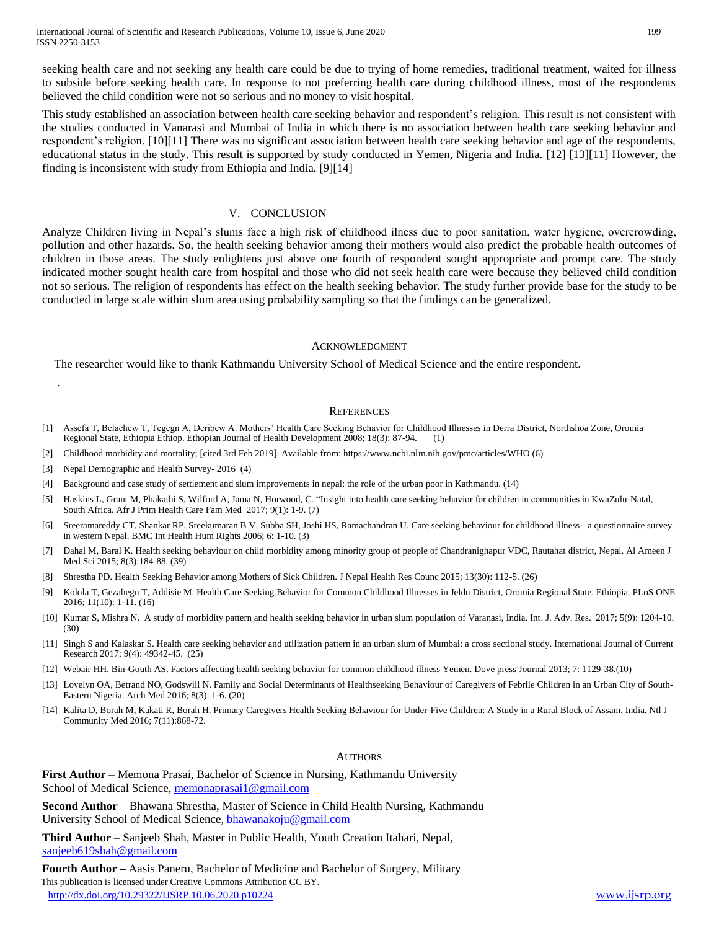seeking health care and not seeking any health care could be due to trying of home remedies, traditional treatment, waited for illness to subside before seeking health care. In response to not preferring health care during childhood illness, most of the respondents believed the child condition were not so serious and no money to visit hospital.

This study established an association between health care seeking behavior and respondent's religion. This result is not consistent with the studies conducted in Vanarasi and Mumbai of India in which there is no association between health care seeking behavior and respondent's religion. [10][11] There was no significant association between health care seeking behavior and age of the respondents, educational status in the study. This result is supported by study conducted in Yemen, Nigeria and India. [12] [13][11] However, the finding is inconsistent with study from Ethiopia and India. [9][14]

#### V. CONCLUSION

Analyze Children living in Nepal's slums face a high risk of childhood ilness due to poor sanitation, water hygiene, overcrowding, pollution and other hazards. So, the health seeking behavior among their mothers would also predict the probable health outcomes of children in those areas. The study enlightens just above one fourth of respondent sought appropriate and prompt care. The study indicated mother sought health care from hospital and those who did not seek health care were because they believed child condition not so serious. The religion of respondents has effect on the health seeking behavior. The study further provide base for the study to be conducted in large scale within slum area using probability sampling so that the findings can be generalized.

#### ACKNOWLEDGMENT

The researcher would like to thank Kathmandu University School of Medical Science and the entire respondent.

#### **REFERENCES**

- [1] Assefa T, Belachew T, Tegegn A, Deribew A. Mothers' Health Care Seeking Behavior for Childhood Illnesses in Derra District, Northshoa Zone, Oromia Regional State, Ethiopia Ethiop. Ethopian Journal of Health Development 2008; 18(3): 87-94. (1)
- [2] Childhood morbidity and mortality; [cited 3rd Feb 2019]. Available from: https://www.ncbi.nlm.nih.gov/pmc/articles/WHO (6)
- [3] Nepal Demographic and Health Survey- 2016 (4)

.

- [4] Background and case study of settlement and slum improvements in nepal: the role of the urban poor in Kathmandu. (14)
- [5] Haskins L, Grant M, Phakathi S, Wilford A, Jama N, Horwood, C. "Insight into health care seeking behavior for children in communities in KwaZulu-Natal, South Africa. Afr J Prim Health Care Fam Med 2017; 9(1): 1-9. (7)
- [6] Sreeramareddy CT, Shankar RP, Sreekumaran B V, Subba SH, Joshi HS, Ramachandran U. Care seeking behaviour for childhood illness- a questionnaire survey in western Nepal. BMC Int Health Hum Rights 2006; 6: 1-10. (3)
- [7] Dahal M, Baral K. Health seeking behaviour on child morbidity among minority group of people of Chandranighapur VDC, Rautahat district, Nepal. Al Ameen J Med Sci 2015; 8(3):184-88. (39)
- [8] Shrestha PD. Health Seeking Behavior among Mothers of Sick Children. J Nepal Health Res Counc 2015; 13(30): 112-5. (26)
- [9] Kolola T, Gezahegn T, Addisie M. Health Care Seeking Behavior for Common Childhood Illnesses in Jeldu District, Oromia Regional State, Ethiopia. PLoS ONE 2016; 11(10): 1-11. (16)
- [10] Kumar S, Mishra N. A study of morbidity pattern and health seeking behavior in urban slum population of Varanasi, India. Int. J. Adv. Res. 2017; 5(9): 1204-10. (30)
- [11] Singh S and Kalaskar S. Health care seeking behavior and utilization pattern in an urban slum of Mumbai: a cross sectional study. International Journal of Current Research 2017; 9(4): 49342-45. (25)
- [12] Webair HH, Bin-Gouth AS. Factors affecting health seeking behavior for common childhood illness Yemen. Dove press Journal 2013; 7: 1129-38.(10)
- [13] Lovelyn OA, Betrand NO, Godswill N. Family and Social Determinants of Healthseeking Behaviour of Caregivers of Febrile Children in an Urban City of South-Eastern Nigeria. Arch Med 2016; 8(3): 1-6. (20)
- [14] Kalita D, Borah M, Kakati R, Borah H. Primary Caregivers Health Seeking Behaviour for Under-Five Children: A Study in a Rural Block of Assam, India. Ntl J Community Med 2016; 7(11):868-72.

#### **AUTHORS**

**First Author** – Memona Prasai, Bachelor of Science in Nursing, Kathmandu University School of Medical Science[, memonaprasai1@gmail.com](mailto:memonaprasai1@gmail.com)

**Second Author** – Bhawana Shrestha, Master of Science in Child Health Nursing, Kathmandu University School of Medical Science, **bhawanakoju@gmail.com** 

**Third Author** – Sanjeeb Shah, Master in Public Health, Youth Creation Itahari, Nepal, [sanjeeb619shah@gmail.com](mailto:sanjeeb619shah@gmail.com)

 This publication is licensed under Creative Commons Attribution CC BY. <http://dx.doi.org/10.29322/IJSRP.10.06.2020.p10224> [www.ijsrp.org](http://ijsrp.org/) **Fourth Author –** Aasis Paneru, Bachelor of Medicine and Bachelor of Surgery, Military